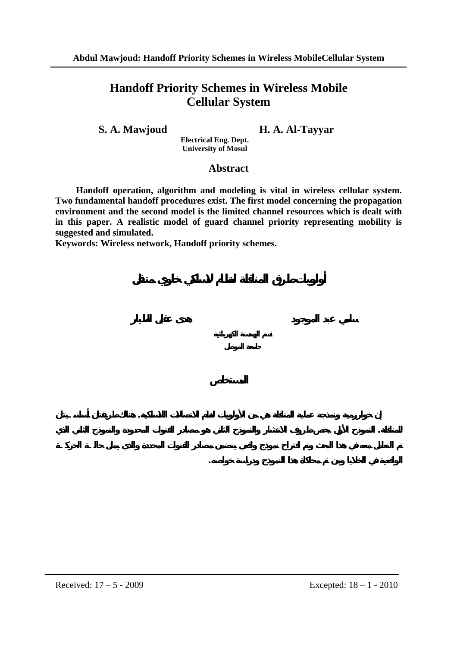# **Handoff Priority Schemes in Wireless Mobile Cellular System**

**S. A. Mawjoud H. A. Al-Tayyar** 

**الواقعية في الخلايا ومن ثم محاكاة هذا النموذج ودراسة خواصه.** 

**Electrical Eng. Dept. University of Mosul** 

# **Abstract**

**Handoff operation, algorithm and modeling is vital in wireless cellular system. Two fundamental handoff procedures exist. The first model concerning the propagation environment and the second model is the limited channel resources which is dealt with in this paper. A realistic model of guard channel priority representing mobility is suggested and simulated.** 

**إن خوارزمية ونمذجة عملية المناقلة هي من الأولويات لنظم الاتصالات اللاسلكية. هنالك طريقتان أساسـيتان**

**للمناقلة. النموذج الأول يخص ظروف الانتشار والنموذج الثاني هو مصادر القنوات المحدودة والنموذج الثاني الذي**

**Keywords: Wireless network, Handoff priority schemes.**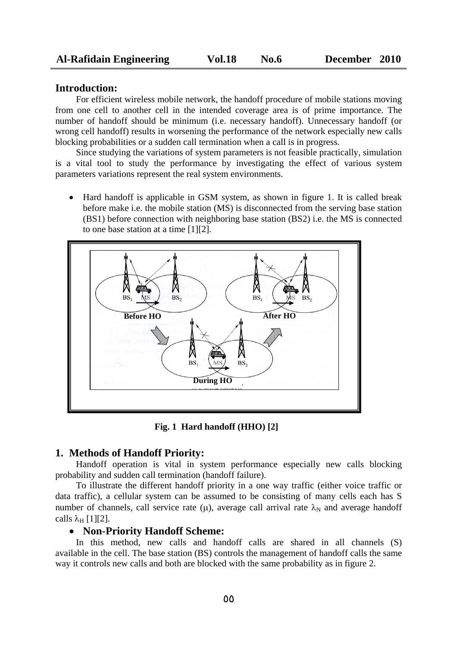## **Introduction:**

For efficient wireless mobile network, the handoff procedure of mobile stations moving from one cell to another cell in the intended coverage area is of prime importance. The number of handoff should be minimum (i.e. necessary handoff). Unnecessary handoff (or wrong cell handoff) results in worsening the performance of the network especially new calls blocking probabilities or a sudden call termination when a call is in progress.

Since studying the variations of system parameters is not feasible practically, simulation is a vital tool to study the performance by investigating the effect of various system parameters variations represent the real system environments.

• Hard handoff is applicable in GSM system, as shown in figure 1. It is called break before make i.e. the mobile station (MS) is disconnected from the serving base station (BS1) before connection with neighboring base station (BS2) i.e. the MS is connected to one base station at a time [1][2].



**Fig. 1 Hard handoff (HHO) [2]**

#### **1. Methods of Handoff Priority:**

Handoff operation is vital in system performance especially new calls blocking probability and sudden call termination (handoff failure).

To illustrate the different handoff priority in a one way traffic (either voice traffic or data traffic), a cellular system can be assumed to be consisting of many cells each has S number of channels, call service rate ( $\mu$ ), average call arrival rate  $\lambda_N$  and average handoff calls  $\lambda_H$  [1][2].

#### • **Non-Priority Handoff Scheme:**

In this method, new calls and handoff calls are shared in all channels (S) available in the cell. The base station (BS) controls the management of handoff calls the same way it controls new calls and both are blocked with the same probability as in figure 2.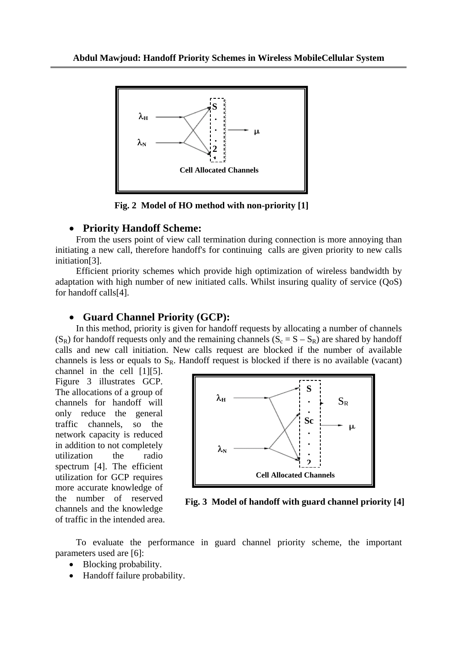

**Fig. 2 Model of HO method with non-priority [1]**

## • **Priority Handoff Scheme:**

From the users point of view call termination during connection is more annoying than initiating a new call, therefore handoff's for continuing calls are given priority to new calls initiation[3].

Efficient priority schemes which provide high optimization of wireless bandwidth by adaptation with high number of new initiated calls. Whilst insuring quality of service (QoS) for handoff calls[4].

## • **Guard Channel Priority (GCP):**

In this method, priority is given for handoff requests by allocating a number of channels  $(S_R)$  for handoff requests only and the remaining channels  $(S_c = S - S_R)$  are shared by handoff calls and new call initiation. New calls request are blocked if the number of available channels is less or equals to  $S_R$ . Handoff request is blocked if there is no available (vacant)

channel in the cell [1][5]. Figure 3 illustrates GCP. The allocations of a group of channels for handoff will only reduce the general traffic channels, so the network capacity is reduced in addition to not completely utilization the radio spectrum [4]. The efficient utilization for GCP requires more accurate knowledge of the number of reserved channels and the knowledge of traffic in the intended area.



**Fig. 3 Model of handoff with guard channel priority [4]**

To evaluate the performance in guard channel priority scheme, the important parameters used are [6]:

- Blocking probability.
- Handoff failure probability.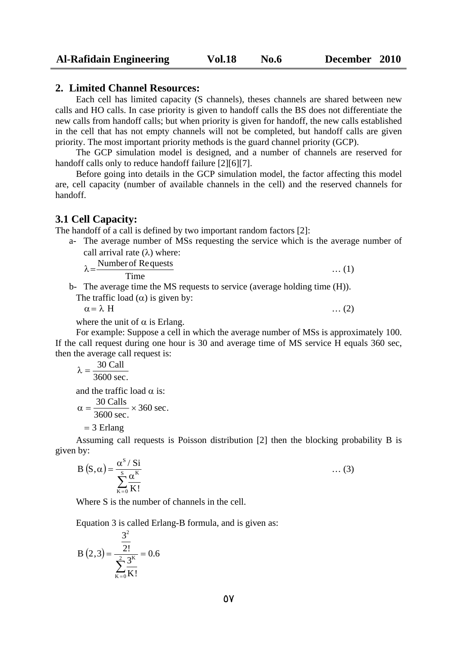## **2. Limited Channel Resources:**

Each cell has limited capacity (S channels), theses channels are shared between new calls and HO calls. In case priority is given to handoff calls the BS does not differentiate the new calls from handoff calls; but when priority is given for handoff, the new calls established in the cell that has not empty channels will not be completed, but handoff calls are given priority. The most important priority methods is the guard channel priority (GCP).

The GCP simulation model is designed, and a number of channels are reserved for handoff calls only to reduce handoff failure [2][6][7].

Before going into details in the GCP simulation model, the factor affecting this model are, cell capacity (number of available channels in the cell) and the reserved channels for handoff.

#### **3.1 Cell Capacity:**

The handoff of a call is defined by two important random factors [2]:

a- The average number of MSs requesting the service which is the average number of call arrival rate  $(\lambda)$  where:

 $\lambda = \frac{\text{Number of Requests}}{\text{numbest}}$  ... (1)

Time

b- The average time the MS requests to service (average holding time (H)).

The traffic load  $(\alpha)$  is given by:

 $\alpha = \lambda$  H … (2)

where the unit of  $\alpha$  is Erlang.

For example: Suppose a cell in which the average number of MSs is approximately 100. If the call request during one hour is 30 and average time of MS service H equals 360 sec, then the average call request is:

3600 sec.  $\lambda = \frac{30 \text{ Call}}{1000}$ and the traffic load  $\alpha$  is:

$$
\alpha = \frac{30 \text{Calls}}{3600 \text{ sec.}} \times 360 \text{ sec.}
$$

 $= 3$  Erlang

Assuming call requests is Poisson distribution [2] then the blocking probability B is given by:

$$
B(S,\alpha) = \frac{\alpha^{S} / Si}{\sum_{K=0}^{S} \frac{\alpha^{K}}{K!}} \qquad \qquad \dots (3)
$$

Where S is the number of channels in the cell.

Equation 3 is called Erlang-B formula, and is given as:

$$
B(2,3) = \frac{\frac{3^2}{2!}}{\sum_{K=0}^{2} \frac{3^K}{K!}} = 0.6
$$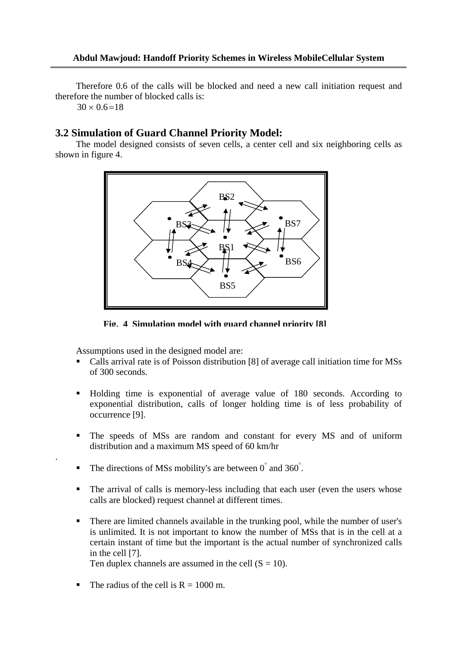Therefore 0.6 of the calls will be blocked and need a new call initiation request and therefore the number of blocked calls is:

 $30 \times 0.6 = 18$ 

.

#### **3.2 Simulation of Guard Channel Priority Model:**

The model designed consists of seven cells, a center cell and six neighboring cells as shown in figure 4.



**Fig. 4 Simulation model with guard channel priority [8]**

Assumptions used in the designed model are:

- Calls arrival rate is of Poisson distribution [8] of average call initiation time for MSs of 300 seconds.
- Holding time is exponential of average value of 180 seconds. According to exponential distribution, calls of longer holding time is of less probability of occurrence [9].
- The speeds of MSs are random and constant for every MS and of uniform distribution and a maximum MS speed of 60 km/hr
- The directions of MSs mobility's are between  $0^{\degree}$  and 360 $^{\degree}$ .
- The arrival of calls is memory-less including that each user (even the users whose calls are blocked) request channel at different times.
- There are limited channels available in the trunking pool, while the number of user's is unlimited. It is not important to know the number of MSs that is in the cell at a certain instant of time but the important is the actual number of synchronized calls in the cell [7].
	- Ten duplex channels are assumed in the cell  $(S = 10)$ .
- The radius of the cell is  $R = 1000$  m.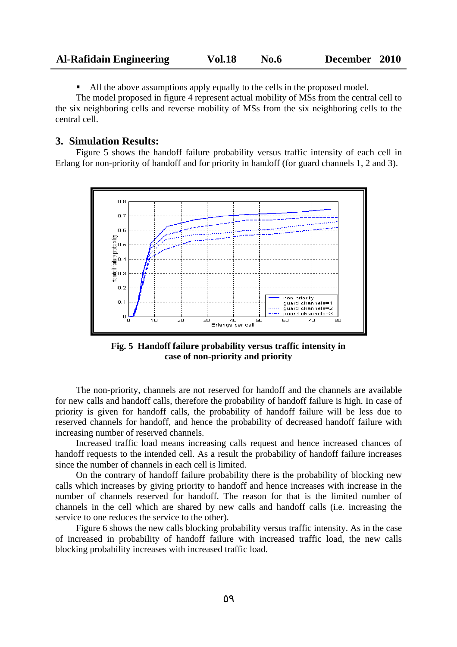| <b>Al-Rafidain Engineering</b> | <b>Vol.18</b> | No.6 | December 2010 |  |
|--------------------------------|---------------|------|---------------|--|
|--------------------------------|---------------|------|---------------|--|

All the above assumptions apply equally to the cells in the proposed model.

The model proposed in figure 4 represent actual mobility of MSs from the central cell to the six neighboring cells and reverse mobility of MSs from the six neighboring cells to the central cell.

#### **3. Simulation Results:**

Figure 5 shows the handoff failure probability versus traffic intensity of each cell in Erlang for non-priority of handoff and for priority in handoff (for guard channels 1, 2 and 3).



**Fig. 5 Handoff failure probability versus traffic intensity in case of non-priority and priority**

The non-priority, channels are not reserved for handoff and the channels are available for new calls and handoff calls, therefore the probability of handoff failure is high. In case of priority is given for handoff calls, the probability of handoff failure will be less due to reserved channels for handoff, and hence the probability of decreased handoff failure with increasing number of reserved channels.

Increased traffic load means increasing calls request and hence increased chances of handoff requests to the intended cell. As a result the probability of handoff failure increases since the number of channels in each cell is limited.

On the contrary of handoff failure probability there is the probability of blocking new calls which increases by giving priority to handoff and hence increases with increase in the number of channels reserved for handoff. The reason for that is the limited number of channels in the cell which are shared by new calls and handoff calls (i.e. increasing the service to one reduces the service to the other).

Figure 6 shows the new calls blocking probability versus traffic intensity. As in the case of increased in probability of handoff failure with increased traffic load, the new calls blocking probability increases with increased traffic load.